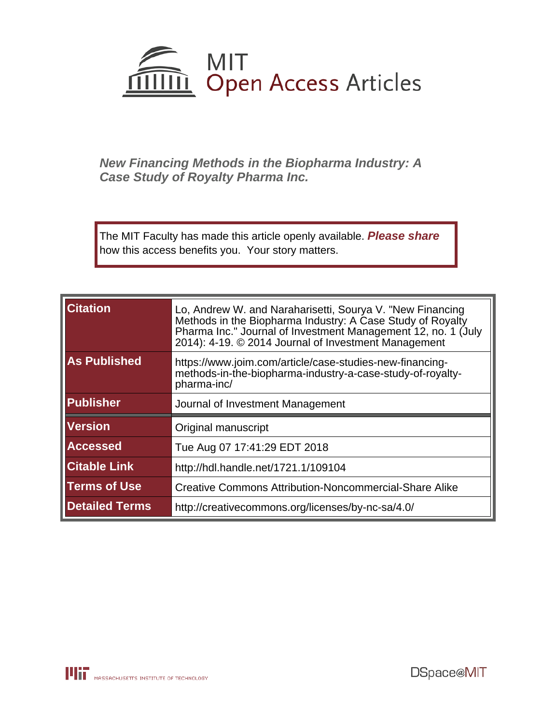

**New Financing Methods in the Biopharma Industry: A Case Study of Royalty Pharma Inc.**

The MIT Faculty has made this article openly available. **[Please share](http://libraries.mit.edu/forms/dspace-oa-articles.html)** how this access benefits you. Your story matters.

| <b>Citation</b>       | Lo, Andrew W. and Naraharisetti, Sourya V. "New Financing<br>Methods in the Biopharma Industry: A Case Study of Royalty<br>Pharma Inc." Journal of Investment Management 12, no. 1 (July<br>2014): 4-19. © 2014 Journal of Investment Management |
|-----------------------|--------------------------------------------------------------------------------------------------------------------------------------------------------------------------------------------------------------------------------------------------|
| <b>As Published</b>   | https://www.joim.com/article/case-studies-new-financing-<br>methods-in-the-biopharma-industry-a-case-study-of-royalty-<br>pharma-inc/                                                                                                            |
| <b>Publisher</b>      | Journal of Investment Management                                                                                                                                                                                                                 |
| <b>Version</b>        | Original manuscript                                                                                                                                                                                                                              |
| <b>Accessed</b>       | Tue Aug 07 17:41:29 EDT 2018                                                                                                                                                                                                                     |
| <b>Citable Link</b>   | http://hdl.handle.net/1721.1/109104                                                                                                                                                                                                              |
| <b>Terms of Use</b>   | <b>Creative Commons Attribution-Noncommercial-Share Alike</b>                                                                                                                                                                                    |
| <b>Detailed Terms</b> | http://creativecommons.org/licenses/by-nc-sa/4.0/                                                                                                                                                                                                |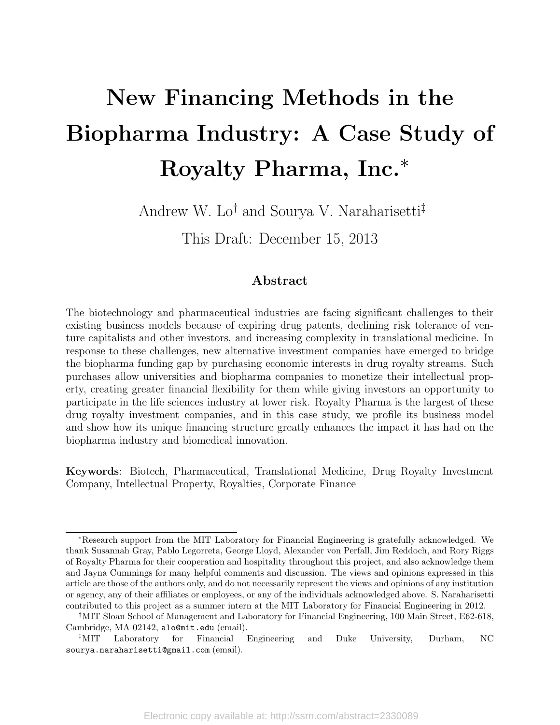# New Financing Methods in the Biopharma Industry: A Case Study of Royalty Pharma, Inc.<sup>∗</sup>

Andrew W. Lo<sup>†</sup> and Sourya V. Naraharisetti<sup>‡</sup>

This Draft: December 15, 2013

## Abstract

The biotechnology and pharmaceutical industries are facing significant challenges to their existing business models because of expiring drug patents, declining risk tolerance of venture capitalists and other investors, and increasing complexity in translational medicine. In response to these challenges, new alternative investment companies have emerged to bridge the biopharma funding gap by purchasing economic interests in drug royalty streams. Such purchases allow universities and biopharma companies to monetize their intellectual property, creating greater financial flexibility for them while giving investors an opportunity to participate in the life sciences industry at lower risk. Royalty Pharma is the largest of these drug royalty investment companies, and in this case study, we profile its business model and show how its unique financing structure greatly enhances the impact it has had on the biopharma industry and biomedical innovation.

Keywords: Biotech, Pharmaceutical, Translational Medicine, Drug Royalty Investment Company, Intellectual Property, Royalties, Corporate Finance

<sup>∗</sup>Research support from the MIT Laboratory for Financial Engineering is gratefully acknowledged. We thank Susannah Gray, Pablo Legorreta, George Lloyd, Alexander von Perfall, Jim Reddoch, and Rory Riggs of Royalty Pharma for their cooperation and hospitality throughout this project, and also acknowledge them and Jayna Cummings for many helpful comments and discussion. The views and opinions expressed in this article are those of the authors only, and do not necessarily represent the views and opinions of any institution or agency, any of their affiliates or employees, or any of the individuals acknowledged above. S. Naraharisetti contributed to this project as a summer intern at the MIT Laboratory for Financial Engineering in 2012.

<sup>†</sup>MIT Sloan School of Management and Laboratory for Financial Engineering, 100 Main Street, E62-618, Cambridge, MA 02142, alo@mit.edu (email).

<sup>‡</sup>MIT Laboratory for Financial Engineering and Duke University, Durham, NC sourya.naraharisetti@gmail.com (email).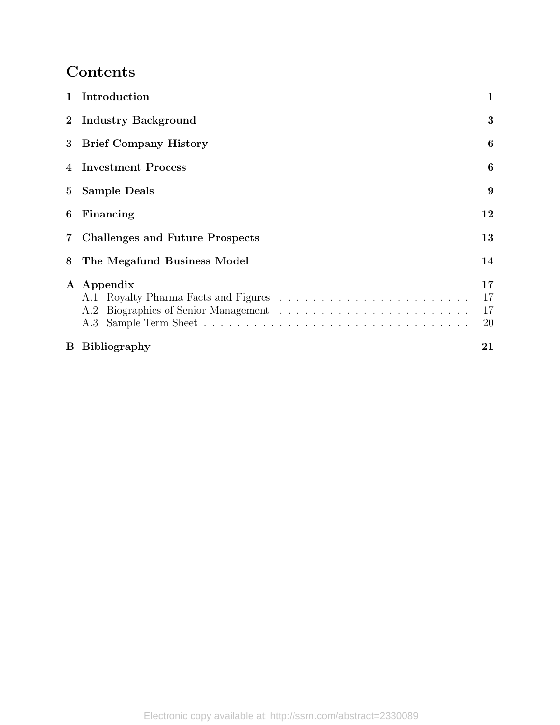## Contents

|   | 1 Introduction                    | 1                    |
|---|-----------------------------------|----------------------|
|   | 2 Industry Background             | 3                    |
|   | 3 Brief Company History           |                      |
|   | 4 Investment Process              |                      |
|   | 5 Sample Deals                    |                      |
| 6 | Financing<br>12                   |                      |
|   | 7 Challenges and Future Prospects | 13                   |
| 8 | The Megafund Business Model       | 14                   |
|   | A Appendix                        | 17<br>17<br>17<br>20 |
|   | <b>B</b> Bibliography             | 21                   |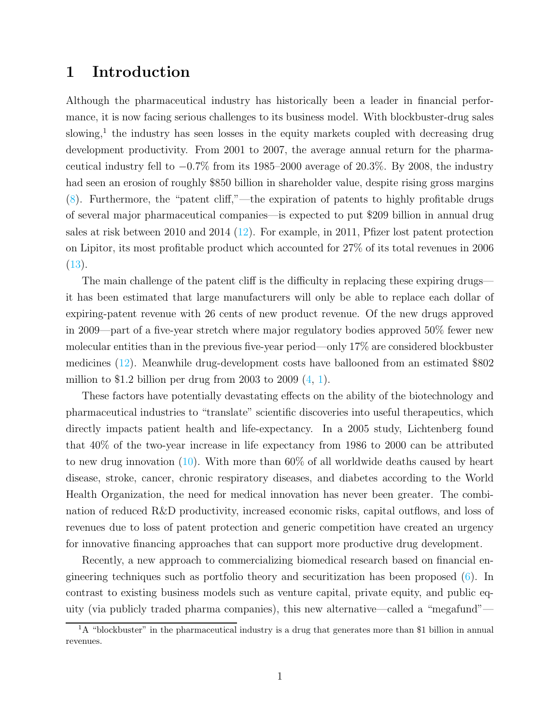## <span id="page-3-0"></span>1 Introduction

Although the pharmaceutical industry has historically been a leader in financial performance, it is now facing serious challenges to its business model. With blockbuster-drug sales slowing,<sup>[1](#page-3-1)</sup> the industry has seen losses in the equity markets coupled with decreasing drug development productivity. From 2001 to 2007, the average annual return for the pharmaceutical industry fell to  $-0.7\%$  from its 1985–2000 average of 20.3%. By 2008, the industry had seen an erosion of roughly \$850 billion in shareholder value, despite rising gross margins [\(8](#page-23-1)). Furthermore, the "patent cliff,"—the expiration of patents to highly profitable drugs of several major pharmaceutical companies—is expected to put \$209 billion in annual drug sales at risk between 2010 and 2014 [\(12\)](#page-23-2). For example, in 2011, Pfizer lost patent protection on Lipitor, its most profitable product which accounted for 27% of its total revenues in 2006 [\(13](#page-23-3)).

The main challenge of the patent cliff is the difficulty in replacing these expiring drugs it has been estimated that large manufacturers will only be able to replace each dollar of expiring-patent revenue with 26 cents of new product revenue. Of the new drugs approved in 2009—part of a five-year stretch where major regulatory bodies approved 50% fewer new molecular entities than in the previous five-year period—only 17% are considered blockbuster medicines [\(12\)](#page-23-2). Meanwhile drug-development costs have ballooned from an estimated \$802 million to \$1.2 billion per drug from 2003 to 2009  $(4, 1)$  $(4, 1)$ .

These factors have potentially devastating effects on the ability of the biotechnology and pharmaceutical industries to "translate" scientific discoveries into useful therapeutics, which directly impacts patient health and life-expectancy. In a 2005 study, Lichtenberg found that 40% of the two-year increase in life expectancy from 1986 to 2000 can be attributed to new drug innovation [\(10](#page-23-6)). With more than 60% of all worldwide deaths caused by heart disease, stroke, cancer, chronic respiratory diseases, and diabetes according to the World Health Organization, the need for medical innovation has never been greater. The combination of reduced R&D productivity, increased economic risks, capital outflows, and loss of revenues due to loss of patent protection and generic competition have created an urgency for innovative financing approaches that can support more productive drug development.

Recently, a new approach to commercializing biomedical research based on financial engineering techniques such as portfolio theory and securitization has been proposed [\(6\)](#page-23-7). In contrast to existing business models such as venture capital, private equity, and public equity (via publicly traded pharma companies), this new alternative—called a "megafund"—

<span id="page-3-1"></span><sup>&</sup>lt;sup>1</sup>A "blockbuster" in the pharmaceutical industry is a drug that generates more than \$1 billion in annual revenues.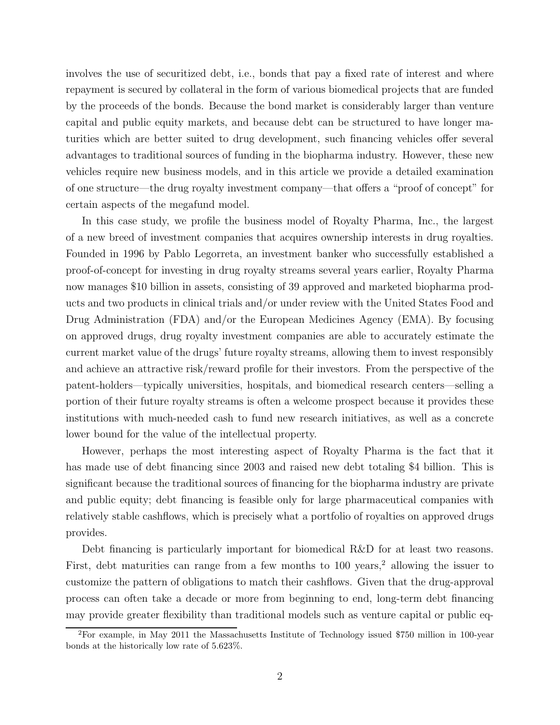involves the use of securitized debt, i.e., bonds that pay a fixed rate of interest and where repayment is secured by collateral in the form of various biomedical projects that are funded by the proceeds of the bonds. Because the bond market is considerably larger than venture capital and public equity markets, and because debt can be structured to have longer maturities which are better suited to drug development, such financing vehicles offer several advantages to traditional sources of funding in the biopharma industry. However, these new vehicles require new business models, and in this article we provide a detailed examination of one structure—the drug royalty investment company—that offers a "proof of concept" for certain aspects of the megafund model.

In this case study, we profile the business model of Royalty Pharma, Inc., the largest of a new breed of investment companies that acquires ownership interests in drug royalties. Founded in 1996 by Pablo Legorreta, an investment banker who successfully established a proof-of-concept for investing in drug royalty streams several years earlier, Royalty Pharma now manages \$10 billion in assets, consisting of 39 approved and marketed biopharma products and two products in clinical trials and/or under review with the United States Food and Drug Administration (FDA) and/or the European Medicines Agency (EMA). By focusing on approved drugs, drug royalty investment companies are able to accurately estimate the current market value of the drugs' future royalty streams, allowing them to invest responsibly and achieve an attractive risk/reward profile for their investors. From the perspective of the patent-holders—typically universities, hospitals, and biomedical research centers—selling a portion of their future royalty streams is often a welcome prospect because it provides these institutions with much-needed cash to fund new research initiatives, as well as a concrete lower bound for the value of the intellectual property.

However, perhaps the most interesting aspect of Royalty Pharma is the fact that it has made use of debt financing since 2003 and raised new debt totaling \$4 billion. This is significant because the traditional sources of financing for the biopharma industry are private and public equity; debt financing is feasible only for large pharmaceutical companies with relatively stable cashflows, which is precisely what a portfolio of royalties on approved drugs provides.

Debt financing is particularly important for biomedical R&D for at least two reasons. First, debt maturities can range from a few months to  $100 \text{ years}$ , allowing the issuer to customize the pattern of obligations to match their cashflows. Given that the drug-approval process can often take a decade or more from beginning to end, long-term debt financing may provide greater flexibility than traditional models such as venture capital or public eq-

<span id="page-4-0"></span><sup>&</sup>lt;sup>2</sup>For example, in May 2011 the Massachusetts Institute of Technology issued \$750 million in 100-year bonds at the historically low rate of 5.623%.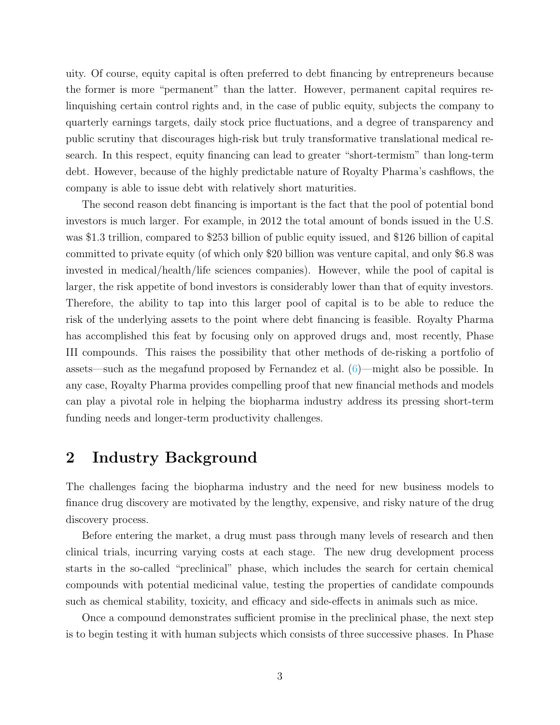uity. Of course, equity capital is often preferred to debt financing by entrepreneurs because the former is more "permanent" than the latter. However, permanent capital requires relinquishing certain control rights and, in the case of public equity, subjects the company to quarterly earnings targets, daily stock price fluctuations, and a degree of transparency and public scrutiny that discourages high-risk but truly transformative translational medical research. In this respect, equity financing can lead to greater "short-termism" than long-term debt. However, because of the highly predictable nature of Royalty Pharma's cashflows, the company is able to issue debt with relatively short maturities.

The second reason debt financing is important is the fact that the pool of potential bond investors is much larger. For example, in 2012 the total amount of bonds issued in the U.S. was \$1.3 trillion, compared to \$253 billion of public equity issued, and \$126 billion of capital committed to private equity (of which only \$20 billion was venture capital, and only \$6.8 was invested in medical/health/life sciences companies). However, while the pool of capital is larger, the risk appetite of bond investors is considerably lower than that of equity investors. Therefore, the ability to tap into this larger pool of capital is to be able to reduce the risk of the underlying assets to the point where debt financing is feasible. Royalty Pharma has accomplished this feat by focusing only on approved drugs and, most recently, Phase III compounds. This raises the possibility that other methods of de-risking a portfolio of assets—such as the megafund proposed by Fernandez et al. [\(6\)](#page-23-7)—might also be possible. In any case, Royalty Pharma provides compelling proof that new financial methods and models can play a pivotal role in helping the biopharma industry address its pressing short-term funding needs and longer-term productivity challenges.

## <span id="page-5-0"></span>2 Industry Background

The challenges facing the biopharma industry and the need for new business models to finance drug discovery are motivated by the lengthy, expensive, and risky nature of the drug discovery process.

Before entering the market, a drug must pass through many levels of research and then clinical trials, incurring varying costs at each stage. The new drug development process starts in the so-called "preclinical" phase, which includes the search for certain chemical compounds with potential medicinal value, testing the properties of candidate compounds such as chemical stability, toxicity, and efficacy and side-effects in animals such as mice.

Once a compound demonstrates sufficient promise in the preclinical phase, the next step is to begin testing it with human subjects which consists of three successive phases. In Phase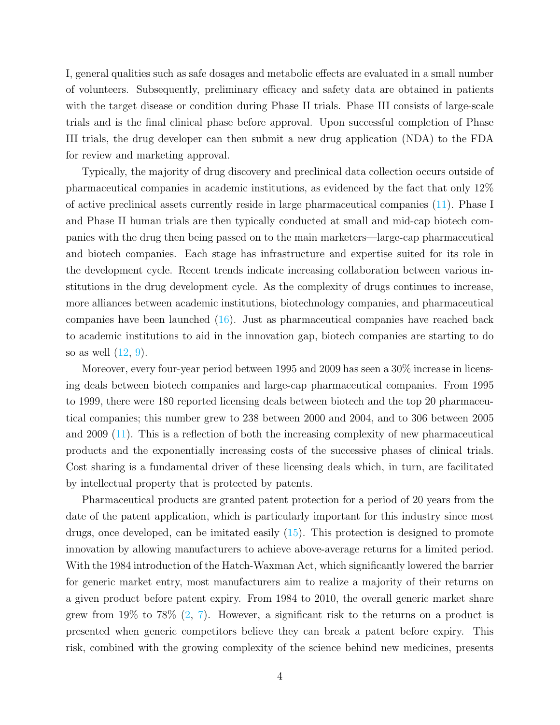I, general qualities such as safe dosages and metabolic effects are evaluated in a small number of volunteers. Subsequently, preliminary efficacy and safety data are obtained in patients with the target disease or condition during Phase II trials. Phase III consists of large-scale trials and is the final clinical phase before approval. Upon successful completion of Phase III trials, the drug developer can then submit a new drug application (NDA) to the FDA for review and marketing approval.

Typically, the majority of drug discovery and preclinical data collection occurs outside of pharmaceutical companies in academic institutions, as evidenced by the fact that only 12% of active preclinical assets currently reside in large pharmaceutical companies [\(11\)](#page-23-8). Phase I and Phase II human trials are then typically conducted at small and mid-cap biotech companies with the drug then being passed on to the main marketers—large-cap pharmaceutical and biotech companies. Each stage has infrastructure and expertise suited for its role in the development cycle. Recent trends indicate increasing collaboration between various institutions in the drug development cycle. As the complexity of drugs continues to increase, more alliances between academic institutions, biotechnology companies, and pharmaceutical companies have been launched [\(16\)](#page-24-0). Just as pharmaceutical companies have reached back to academic institutions to aid in the innovation gap, biotech companies are starting to do so as well  $(12, 9)$  $(12, 9)$ .

Moreover, every four-year period between 1995 and 2009 has seen a 30% increase in licensing deals between biotech companies and large-cap pharmaceutical companies. From 1995 to 1999, there were 180 reported licensing deals between biotech and the top 20 pharmaceutical companies; this number grew to 238 between 2000 and 2004, and to 306 between 2005 and 2009 [\(11](#page-23-8)). This is a reflection of both the increasing complexity of new pharmaceutical products and the exponentially increasing costs of the successive phases of clinical trials. Cost sharing is a fundamental driver of these licensing deals which, in turn, are facilitated by intellectual property that is protected by patents.

Pharmaceutical products are granted patent protection for a period of 20 years from the date of the patent application, which is particularly important for this industry since most drugs, once developed, can be imitated easily [\(15](#page-24-1)). This protection is designed to promote innovation by allowing manufacturers to achieve above-average returns for a limited period. With the 1984 introduction of the Hatch-Waxman Act, which significantly lowered the barrier for generic market entry, most manufacturers aim to realize a majority of their returns on a given product before patent expiry. From 1984 to 2010, the overall generic market share grew from  $19\%$  to 78% [\(2](#page-23-10), [7](#page-23-11)). However, a significant risk to the returns on a product is presented when generic competitors believe they can break a patent before expiry. This risk, combined with the growing complexity of the science behind new medicines, presents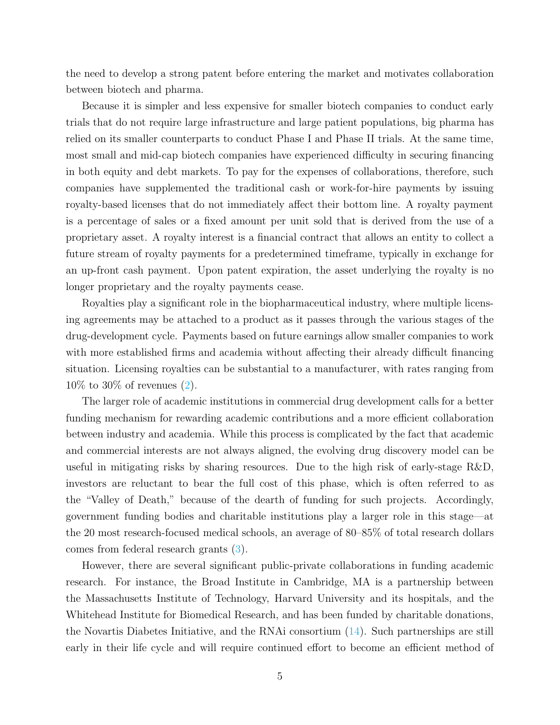the need to develop a strong patent before entering the market and motivates collaboration between biotech and pharma.

Because it is simpler and less expensive for smaller biotech companies to conduct early trials that do not require large infrastructure and large patient populations, big pharma has relied on its smaller counterparts to conduct Phase I and Phase II trials. At the same time, most small and mid-cap biotech companies have experienced difficulty in securing financing in both equity and debt markets. To pay for the expenses of collaborations, therefore, such companies have supplemented the traditional cash or work-for-hire payments by issuing royalty-based licenses that do not immediately affect their bottom line. A royalty payment is a percentage of sales or a fixed amount per unit sold that is derived from the use of a proprietary asset. A royalty interest is a financial contract that allows an entity to collect a future stream of royalty payments for a predetermined timeframe, typically in exchange for an up-front cash payment. Upon patent expiration, the asset underlying the royalty is no longer proprietary and the royalty payments cease.

Royalties play a significant role in the biopharmaceutical industry, where multiple licensing agreements may be attached to a product as it passes through the various stages of the drug-development cycle. Payments based on future earnings allow smaller companies to work with more established firms and academia without affecting their already difficult financing situation. Licensing royalties can be substantial to a manufacturer, with rates ranging from 10% to 30% of revenues [\(2\)](#page-23-10).

The larger role of academic institutions in commercial drug development calls for a better funding mechanism for rewarding academic contributions and a more efficient collaboration between industry and academia. While this process is complicated by the fact that academic and commercial interests are not always aligned, the evolving drug discovery model can be useful in mitigating risks by sharing resources. Due to the high risk of early-stage R&D, investors are reluctant to bear the full cost of this phase, which is often referred to as the "Valley of Death," because of the dearth of funding for such projects. Accordingly, government funding bodies and charitable institutions play a larger role in this stage—at the 20 most research-focused medical schools, an average of 80–85% of total research dollars comes from federal research grants [\(3](#page-23-12)).

However, there are several significant public-private collaborations in funding academic research. For instance, the Broad Institute in Cambridge, MA is a partnership between the Massachusetts Institute of Technology, Harvard University and its hospitals, and the Whitehead Institute for Biomedical Research, and has been funded by charitable donations, the Novartis Diabetes Initiative, and the RNAi consortium [\(14](#page-23-13)). Such partnerships are still early in their life cycle and will require continued effort to become an efficient method of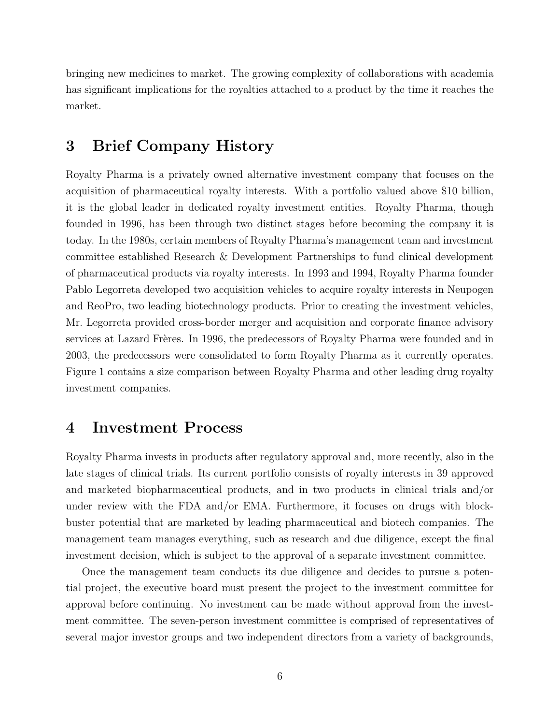bringing new medicines to market. The growing complexity of collaborations with academia has significant implications for the royalties attached to a product by the time it reaches the market.

## <span id="page-8-0"></span>3 Brief Company History

Royalty Pharma is a privately owned alternative investment company that focuses on the acquisition of pharmaceutical royalty interests. With a portfolio valued above \$10 billion, it is the global leader in dedicated royalty investment entities. Royalty Pharma, though founded in 1996, has been through two distinct stages before becoming the company it is today. In the 1980s, certain members of Royalty Pharma's management team and investment committee established Research & Development Partnerships to fund clinical development of pharmaceutical products via royalty interests. In 1993 and 1994, Royalty Pharma founder Pablo Legorreta developed two acquisition vehicles to acquire royalty interests in Neupogen and ReoPro, two leading biotechnology products. Prior to creating the investment vehicles, Mr. Legorreta provided cross-border merger and acquisition and corporate finance advisory services at Lazard Frères. In 1996, the predecessors of Royalty Pharma were founded and in 2003, the predecessors were consolidated to form Royalty Pharma as it currently operates. Figure [1](#page-9-0) contains a size comparison between Royalty Pharma and other leading drug royalty investment companies.

## <span id="page-8-1"></span>4 Investment Process

Royalty Pharma invests in products after regulatory approval and, more recently, also in the late stages of clinical trials. Its current portfolio consists of royalty interests in 39 approved and marketed biopharmaceutical products, and in two products in clinical trials and/or under review with the FDA and/or EMA. Furthermore, it focuses on drugs with blockbuster potential that are marketed by leading pharmaceutical and biotech companies. The management team manages everything, such as research and due diligence, except the final investment decision, which is subject to the approval of a separate investment committee.

Once the management team conducts its due diligence and decides to pursue a potential project, the executive board must present the project to the investment committee for approval before continuing. No investment can be made without approval from the investment committee. The seven-person investment committee is comprised of representatives of several major investor groups and two independent directors from a variety of backgrounds,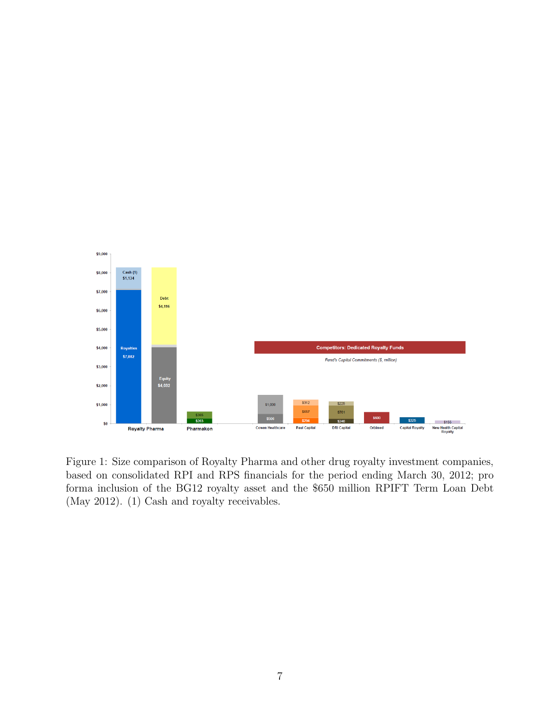

<span id="page-9-0"></span>Figure 1: Size comparison of Royalty Pharma and other drug royalty investment companies, based on consolidated RPI and RPS financials for the period ending March 30, 2012; pro forma inclusion of the BG12 royalty asset and the \$650 million RPIFT Term Loan Debt (May 2012). (1) Cash and royalty receivables.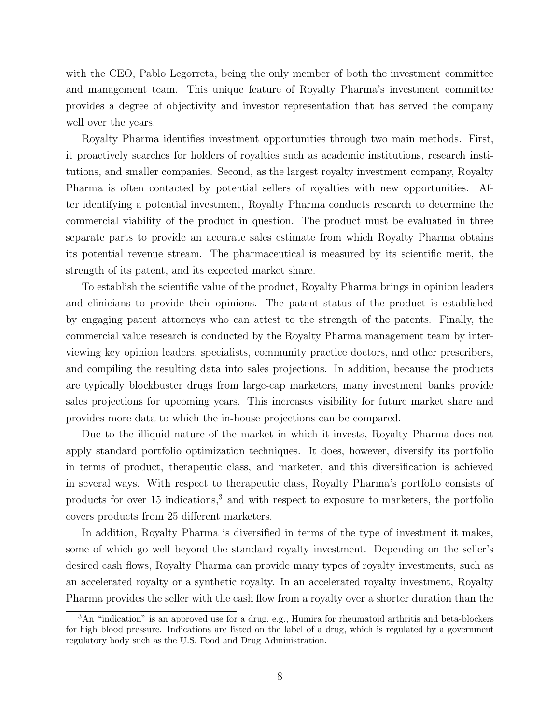with the CEO, Pablo Legorreta, being the only member of both the investment committee and management team. This unique feature of Royalty Pharma's investment committee provides a degree of objectivity and investor representation that has served the company well over the years.

Royalty Pharma identifies investment opportunities through two main methods. First, it proactively searches for holders of royalties such as academic institutions, research institutions, and smaller companies. Second, as the largest royalty investment company, Royalty Pharma is often contacted by potential sellers of royalties with new opportunities. After identifying a potential investment, Royalty Pharma conducts research to determine the commercial viability of the product in question. The product must be evaluated in three separate parts to provide an accurate sales estimate from which Royalty Pharma obtains its potential revenue stream. The pharmaceutical is measured by its scientific merit, the strength of its patent, and its expected market share.

To establish the scientific value of the product, Royalty Pharma brings in opinion leaders and clinicians to provide their opinions. The patent status of the product is established by engaging patent attorneys who can attest to the strength of the patents. Finally, the commercial value research is conducted by the Royalty Pharma management team by interviewing key opinion leaders, specialists, community practice doctors, and other prescribers, and compiling the resulting data into sales projections. In addition, because the products are typically blockbuster drugs from large-cap marketers, many investment banks provide sales projections for upcoming years. This increases visibility for future market share and provides more data to which the in-house projections can be compared.

Due to the illiquid nature of the market in which it invests, Royalty Pharma does not apply standard portfolio optimization techniques. It does, however, diversify its portfolio in terms of product, therapeutic class, and marketer, and this diversification is achieved in several ways. With respect to therapeutic class, Royalty Pharma's portfolio consists of products for over  $15$  indications,<sup>[3](#page-10-0)</sup> and with respect to exposure to marketers, the portfolio covers products from 25 different marketers.

In addition, Royalty Pharma is diversified in terms of the type of investment it makes, some of which go well beyond the standard royalty investment. Depending on the seller's desired cash flows, Royalty Pharma can provide many types of royalty investments, such as an accelerated royalty or a synthetic royalty. In an accelerated royalty investment, Royalty Pharma provides the seller with the cash flow from a royalty over a shorter duration than the

<span id="page-10-0"></span> $3$ An "indication" is an approved use for a drug, e.g., Humira for rheumatoid arthritis and beta-blockers for high blood pressure. Indications are listed on the label of a drug, which is regulated by a government regulatory body such as the U.S. Food and Drug Administration.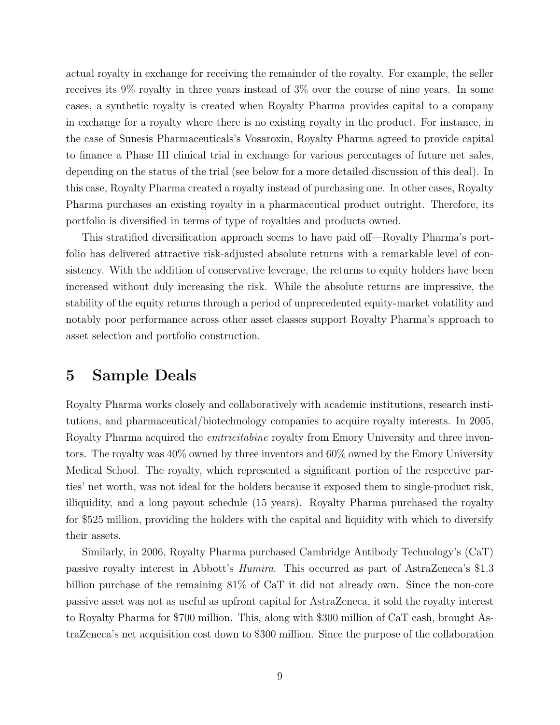actual royalty in exchange for receiving the remainder of the royalty. For example, the seller receives its 9% royalty in three years instead of 3% over the course of nine years. In some cases, a synthetic royalty is created when Royalty Pharma provides capital to a company in exchange for a royalty where there is no existing royalty in the product. For instance, in the case of Sunesis Pharmaceuticals's Vosaroxin, Royalty Pharma agreed to provide capital to finance a Phase III clinical trial in exchange for various percentages of future net sales, depending on the status of the trial (see below for a more detailed discussion of this deal). In this case, Royalty Pharma created a royalty instead of purchasing one. In other cases, Royalty Pharma purchases an existing royalty in a pharmaceutical product outright. Therefore, its portfolio is diversified in terms of type of royalties and products owned.

This stratified diversification approach seems to have paid off—Royalty Pharma's portfolio has delivered attractive risk-adjusted absolute returns with a remarkable level of consistency. With the addition of conservative leverage, the returns to equity holders have been increased without duly increasing the risk. While the absolute returns are impressive, the stability of the equity returns through a period of unprecedented equity-market volatility and notably poor performance across other asset classes support Royalty Pharma's approach to asset selection and portfolio construction.

## <span id="page-11-0"></span>5 Sample Deals

Royalty Pharma works closely and collaboratively with academic institutions, research institutions, and pharmaceutical/biotechnology companies to acquire royalty interests. In 2005, Royalty Pharma acquired the *emtricitabine* royalty from Emory University and three inventors. The royalty was 40% owned by three inventors and 60% owned by the Emory University Medical School. The royalty, which represented a significant portion of the respective parties' net worth, was not ideal for the holders because it exposed them to single-product risk, illiquidity, and a long payout schedule (15 years). Royalty Pharma purchased the royalty for \$525 million, providing the holders with the capital and liquidity with which to diversify their assets.

Similarly, in 2006, Royalty Pharma purchased Cambridge Antibody Technology's (CaT) passive royalty interest in Abbott's Humira. This occurred as part of AstraZeneca's \$1.3 billion purchase of the remaining 81% of CaT it did not already own. Since the non-core passive asset was not as useful as upfront capital for AstraZeneca, it sold the royalty interest to Royalty Pharma for \$700 million. This, along with \$300 million of CaT cash, brought AstraZeneca's net acquisition cost down to \$300 million. Since the purpose of the collaboration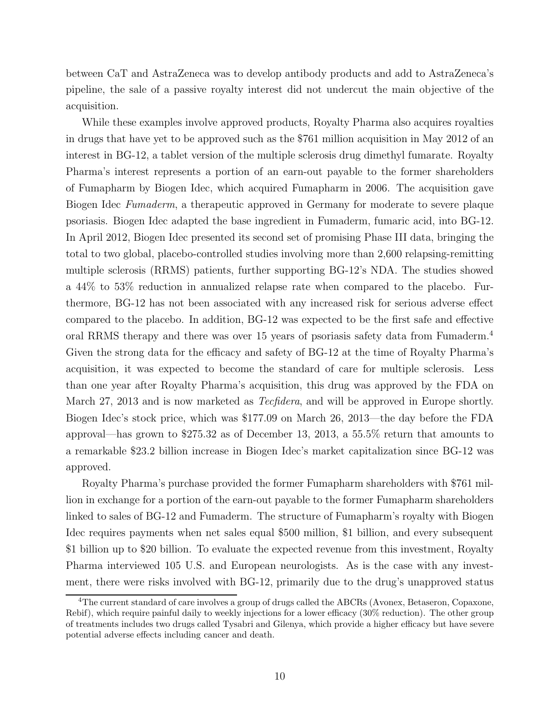between CaT and AstraZeneca was to develop antibody products and add to AstraZeneca's pipeline, the sale of a passive royalty interest did not undercut the main objective of the acquisition.

While these examples involve approved products, Royalty Pharma also acquires royalties in drugs that have yet to be approved such as the \$761 million acquisition in May 2012 of an interest in BG-12, a tablet version of the multiple sclerosis drug dimethyl fumarate. Royalty Pharma's interest represents a portion of an earn-out payable to the former shareholders of Fumapharm by Biogen Idec, which acquired Fumapharm in 2006. The acquisition gave Biogen Idec Fumaderm, a therapeutic approved in Germany for moderate to severe plaque psoriasis. Biogen Idec adapted the base ingredient in Fumaderm, fumaric acid, into BG-12. In April 2012, Biogen Idec presented its second set of promising Phase III data, bringing the total to two global, placebo-controlled studies involving more than 2,600 relapsing-remitting multiple sclerosis (RRMS) patients, further supporting BG-12's NDA. The studies showed a 44% to 53% reduction in annualized relapse rate when compared to the placebo. Furthermore, BG-12 has not been associated with any increased risk for serious adverse effect compared to the placebo. In addition, BG-12 was expected to be the first safe and effective oral RRMS therapy and there was over 15 years of psoriasis safety data from Fumaderm.[4](#page-12-0) Given the strong data for the efficacy and safety of BG-12 at the time of Royalty Pharma's acquisition, it was expected to become the standard of care for multiple sclerosis. Less than one year after Royalty Pharma's acquisition, this drug was approved by the FDA on March 27, 2013 and is now marketed as *Tecfidera*, and will be approved in Europe shortly. Biogen Idec's stock price, which was \$177.09 on March 26, 2013—the day before the FDA approval—has grown to \$275.32 as of December 13, 2013, a 55.5% return that amounts to a remarkable \$23.2 billion increase in Biogen Idec's market capitalization since BG-12 was approved.

Royalty Pharma's purchase provided the former Fumapharm shareholders with \$761 million in exchange for a portion of the earn-out payable to the former Fumapharm shareholders linked to sales of BG-12 and Fumaderm. The structure of Fumapharm's royalty with Biogen Idec requires payments when net sales equal \$500 million, \$1 billion, and every subsequent \$1 billion up to \$20 billion. To evaluate the expected revenue from this investment, Royalty Pharma interviewed 105 U.S. and European neurologists. As is the case with any investment, there were risks involved with BG-12, primarily due to the drug's unapproved status

<span id="page-12-0"></span><sup>&</sup>lt;sup>4</sup>The current standard of care involves a group of drugs called the ABCRs (Avonex, Betaseron, Copaxone, Rebif), which require painful daily to weekly injections for a lower efficacy (30% reduction). The other group of treatments includes two drugs called Tysabri and Gilenya, which provide a higher efficacy but have severe potential adverse effects including cancer and death.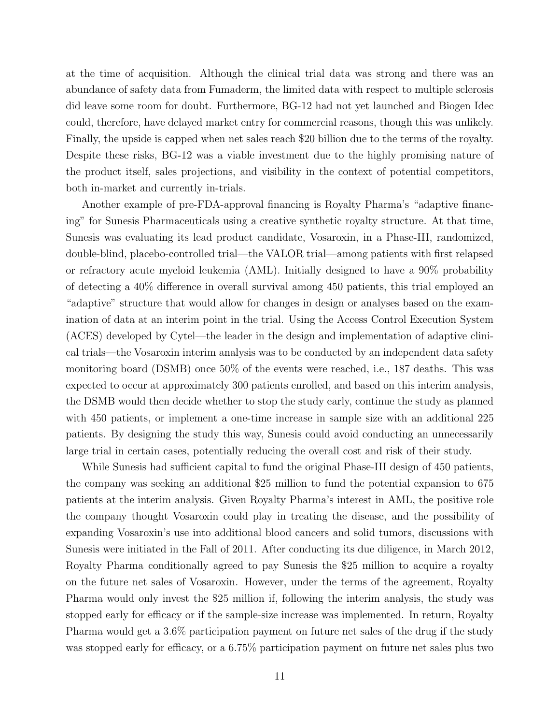at the time of acquisition. Although the clinical trial data was strong and there was an abundance of safety data from Fumaderm, the limited data with respect to multiple sclerosis did leave some room for doubt. Furthermore, BG-12 had not yet launched and Biogen Idec could, therefore, have delayed market entry for commercial reasons, though this was unlikely. Finally, the upside is capped when net sales reach \$20 billion due to the terms of the royalty. Despite these risks, BG-12 was a viable investment due to the highly promising nature of the product itself, sales projections, and visibility in the context of potential competitors, both in-market and currently in-trials.

Another example of pre-FDA-approval financing is Royalty Pharma's "adaptive financing" for Sunesis Pharmaceuticals using a creative synthetic royalty structure. At that time, Sunesis was evaluating its lead product candidate, Vosaroxin, in a Phase-III, randomized, double-blind, placebo-controlled trial—the VALOR trial—among patients with first relapsed or refractory acute myeloid leukemia (AML). Initially designed to have a 90% probability of detecting a 40% difference in overall survival among 450 patients, this trial employed an "adaptive" structure that would allow for changes in design or analyses based on the examination of data at an interim point in the trial. Using the Access Control Execution System (ACES) developed by Cytel—the leader in the design and implementation of adaptive clinical trials—the Vosaroxin interim analysis was to be conducted by an independent data safety monitoring board (DSMB) once 50% of the events were reached, i.e., 187 deaths. This was expected to occur at approximately 300 patients enrolled, and based on this interim analysis, the DSMB would then decide whether to stop the study early, continue the study as planned with 450 patients, or implement a one-time increase in sample size with an additional 225 patients. By designing the study this way, Sunesis could avoid conducting an unnecessarily large trial in certain cases, potentially reducing the overall cost and risk of their study.

While Sunesis had sufficient capital to fund the original Phase-III design of 450 patients, the company was seeking an additional \$25 million to fund the potential expansion to 675 patients at the interim analysis. Given Royalty Pharma's interest in AML, the positive role the company thought Vosaroxin could play in treating the disease, and the possibility of expanding Vosaroxin's use into additional blood cancers and solid tumors, discussions with Sunesis were initiated in the Fall of 2011. After conducting its due diligence, in March 2012, Royalty Pharma conditionally agreed to pay Sunesis the \$25 million to acquire a royalty on the future net sales of Vosaroxin. However, under the terms of the agreement, Royalty Pharma would only invest the \$25 million if, following the interim analysis, the study was stopped early for efficacy or if the sample-size increase was implemented. In return, Royalty Pharma would get a 3.6% participation payment on future net sales of the drug if the study was stopped early for efficacy, or a 6.75% participation payment on future net sales plus two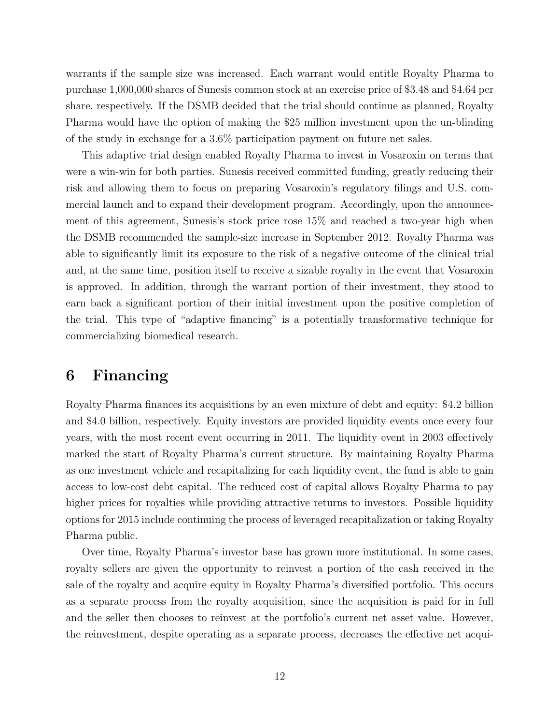warrants if the sample size was increased. Each warrant would entitle Royalty Pharma to purchase 1,000,000 shares of Sunesis common stock at an exercise price of \$3.48 and \$4.64 per share, respectively. If the DSMB decided that the trial should continue as planned, Royalty Pharma would have the option of making the \$25 million investment upon the un-blinding of the study in exchange for a 3.6% participation payment on future net sales.

This adaptive trial design enabled Royalty Pharma to invest in Vosaroxin on terms that were a win-win for both parties. Sunesis received committed funding, greatly reducing their risk and allowing them to focus on preparing Vosaroxin's regulatory filings and U.S. commercial launch and to expand their development program. Accordingly, upon the announcement of this agreement, Sunesis's stock price rose 15% and reached a two-year high when the DSMB recommended the sample-size increase in September 2012. Royalty Pharma was able to significantly limit its exposure to the risk of a negative outcome of the clinical trial and, at the same time, position itself to receive a sizable royalty in the event that Vosaroxin is approved. In addition, through the warrant portion of their investment, they stood to earn back a significant portion of their initial investment upon the positive completion of the trial. This type of "adaptive financing" is a potentially transformative technique for commercializing biomedical research.

## <span id="page-14-0"></span>6 Financing

Royalty Pharma finances its acquisitions by an even mixture of debt and equity: \$4.2 billion and \$4.0 billion, respectively. Equity investors are provided liquidity events once every four years, with the most recent event occurring in 2011. The liquidity event in 2003 effectively marked the start of Royalty Pharma's current structure. By maintaining Royalty Pharma as one investment vehicle and recapitalizing for each liquidity event, the fund is able to gain access to low-cost debt capital. The reduced cost of capital allows Royalty Pharma to pay higher prices for royalties while providing attractive returns to investors. Possible liquidity options for 2015 include continuing the process of leveraged recapitalization or taking Royalty Pharma public.

Over time, Royalty Pharma's investor base has grown more institutional. In some cases, royalty sellers are given the opportunity to reinvest a portion of the cash received in the sale of the royalty and acquire equity in Royalty Pharma's diversified portfolio. This occurs as a separate process from the royalty acquisition, since the acquisition is paid for in full and the seller then chooses to reinvest at the portfolio's current net asset value. However, the reinvestment, despite operating as a separate process, decreases the effective net acqui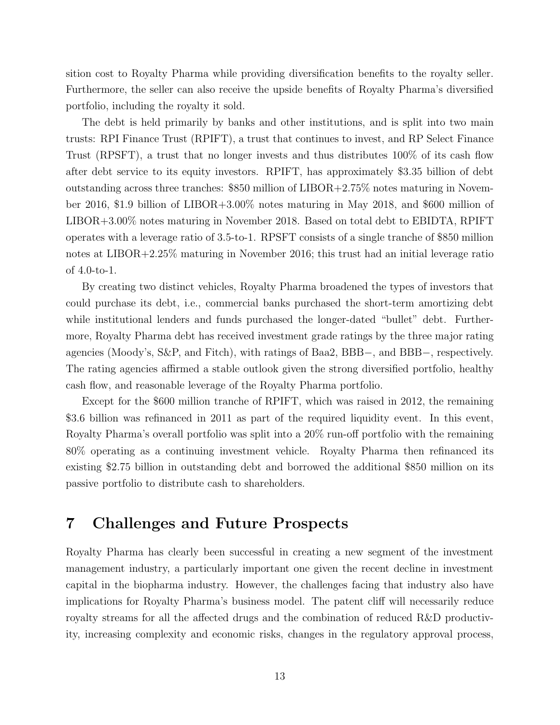sition cost to Royalty Pharma while providing diversification benefits to the royalty seller. Furthermore, the seller can also receive the upside benefits of Royalty Pharma's diversified portfolio, including the royalty it sold.

The debt is held primarily by banks and other institutions, and is split into two main trusts: RPI Finance Trust (RPIFT), a trust that continues to invest, and RP Select Finance Trust (RPSFT), a trust that no longer invests and thus distributes 100% of its cash flow after debt service to its equity investors. RPIFT, has approximately \$3.35 billion of debt outstanding across three tranches: \$850 million of LIBOR+2.75% notes maturing in November 2016, \$1.9 billion of LIBOR+3.00% notes maturing in May 2018, and \$600 million of LIBOR+3.00% notes maturing in November 2018. Based on total debt to EBIDTA, RPIFT operates with a leverage ratio of 3.5-to-1. RPSFT consists of a single tranche of \$850 million notes at LIBOR+2.25% maturing in November 2016; this trust had an initial leverage ratio of 4.0-to-1.

By creating two distinct vehicles, Royalty Pharma broadened the types of investors that could purchase its debt, i.e., commercial banks purchased the short-term amortizing debt while institutional lenders and funds purchased the longer-dated "bullet" debt. Furthermore, Royalty Pharma debt has received investment grade ratings by the three major rating agencies (Moody's, S&P, and Fitch), with ratings of Baa2, BBB−, and BBB−, respectively. The rating agencies affirmed a stable outlook given the strong diversified portfolio, healthy cash flow, and reasonable leverage of the Royalty Pharma portfolio.

Except for the \$600 million tranche of RPIFT, which was raised in 2012, the remaining \$3.6 billion was refinanced in 2011 as part of the required liquidity event. In this event, Royalty Pharma's overall portfolio was split into a 20% run-off portfolio with the remaining 80% operating as a continuing investment vehicle. Royalty Pharma then refinanced its existing \$2.75 billion in outstanding debt and borrowed the additional \$850 million on its passive portfolio to distribute cash to shareholders.

## <span id="page-15-0"></span>7 Challenges and Future Prospects

Royalty Pharma has clearly been successful in creating a new segment of the investment management industry, a particularly important one given the recent decline in investment capital in the biopharma industry. However, the challenges facing that industry also have implications for Royalty Pharma's business model. The patent cliff will necessarily reduce royalty streams for all the affected drugs and the combination of reduced R&D productivity, increasing complexity and economic risks, changes in the regulatory approval process,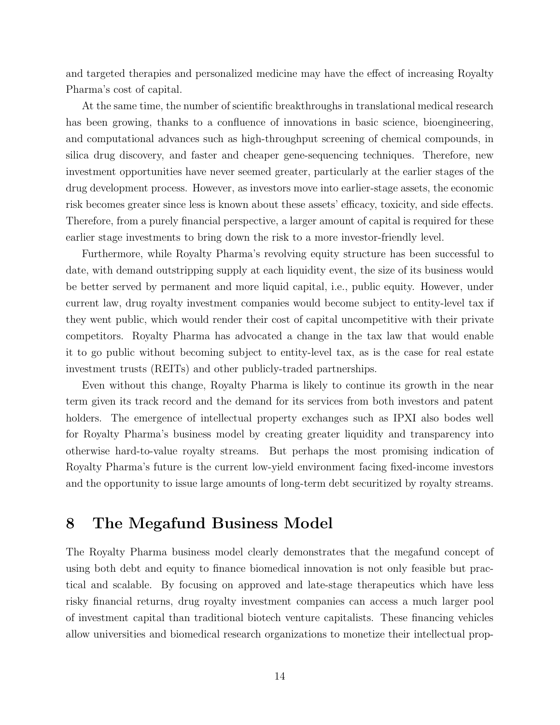and targeted therapies and personalized medicine may have the effect of increasing Royalty Pharma's cost of capital.

At the same time, the number of scientific breakthroughs in translational medical research has been growing, thanks to a confluence of innovations in basic science, bioengineering, and computational advances such as high-throughput screening of chemical compounds, in silica drug discovery, and faster and cheaper gene-sequencing techniques. Therefore, new investment opportunities have never seemed greater, particularly at the earlier stages of the drug development process. However, as investors move into earlier-stage assets, the economic risk becomes greater since less is known about these assets' efficacy, toxicity, and side effects. Therefore, from a purely financial perspective, a larger amount of capital is required for these earlier stage investments to bring down the risk to a more investor-friendly level.

Furthermore, while Royalty Pharma's revolving equity structure has been successful to date, with demand outstripping supply at each liquidity event, the size of its business would be better served by permanent and more liquid capital, i.e., public equity. However, under current law, drug royalty investment companies would become subject to entity-level tax if they went public, which would render their cost of capital uncompetitive with their private competitors. Royalty Pharma has advocated a change in the tax law that would enable it to go public without becoming subject to entity-level tax, as is the case for real estate investment trusts (REITs) and other publicly-traded partnerships.

Even without this change, Royalty Pharma is likely to continue its growth in the near term given its track record and the demand for its services from both investors and patent holders. The emergence of intellectual property exchanges such as IPXI also bodes well for Royalty Pharma's business model by creating greater liquidity and transparency into otherwise hard-to-value royalty streams. But perhaps the most promising indication of Royalty Pharma's future is the current low-yield environment facing fixed-income investors and the opportunity to issue large amounts of long-term debt securitized by royalty streams.

## <span id="page-16-0"></span>8 The Megafund Business Model

The Royalty Pharma business model clearly demonstrates that the megafund concept of using both debt and equity to finance biomedical innovation is not only feasible but practical and scalable. By focusing on approved and late-stage therapeutics which have less risky financial returns, drug royalty investment companies can access a much larger pool of investment capital than traditional biotech venture capitalists. These financing vehicles allow universities and biomedical research organizations to monetize their intellectual prop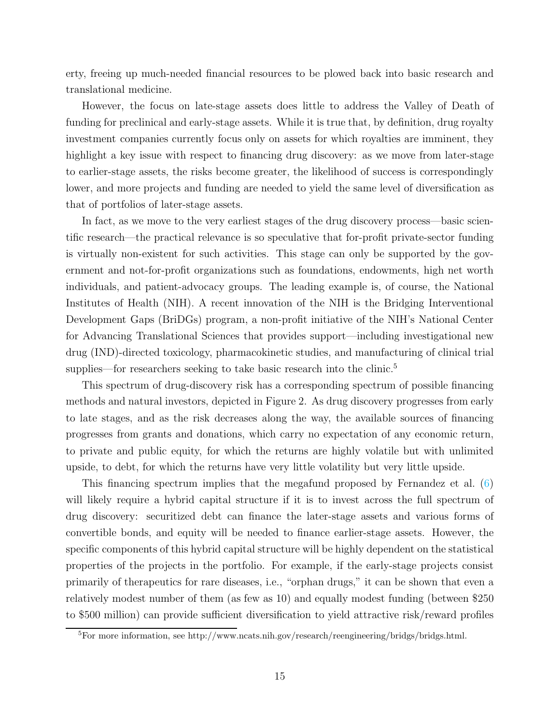erty, freeing up much-needed financial resources to be plowed back into basic research and translational medicine.

However, the focus on late-stage assets does little to address the Valley of Death of funding for preclinical and early-stage assets. While it is true that, by definition, drug royalty investment companies currently focus only on assets for which royalties are imminent, they highlight a key issue with respect to financing drug discovery: as we move from later-stage to earlier-stage assets, the risks become greater, the likelihood of success is correspondingly lower, and more projects and funding are needed to yield the same level of diversification as that of portfolios of later-stage assets.

In fact, as we move to the very earliest stages of the drug discovery process—basic scientific research—the practical relevance is so speculative that for-profit private-sector funding is virtually non-existent for such activities. This stage can only be supported by the government and not-for-profit organizations such as foundations, endowments, high net worth individuals, and patient-advocacy groups. The leading example is, of course, the National Institutes of Health (NIH). A recent innovation of the NIH is the Bridging Interventional Development Gaps (BriDGs) program, a non-profit initiative of the NIH's National Center for Advancing Translational Sciences that provides support—including investigational new drug (IND)-directed toxicology, pharmacokinetic studies, and manufacturing of clinical trial supplies—for researchers seeking to take basic research into the clinic.<sup>[5](#page-17-0)</sup>

This spectrum of drug-discovery risk has a corresponding spectrum of possible financing methods and natural investors, depicted in Figure [2.](#page-18-0) As drug discovery progresses from early to late stages, and as the risk decreases along the way, the available sources of financing progresses from grants and donations, which carry no expectation of any economic return, to private and public equity, for which the returns are highly volatile but with unlimited upside, to debt, for which the returns have very little volatility but very little upside.

This financing spectrum implies that the megafund proposed by Fernandez et al. [\(6](#page-23-7)) will likely require a hybrid capital structure if it is to invest across the full spectrum of drug discovery: securitized debt can finance the later-stage assets and various forms of convertible bonds, and equity will be needed to finance earlier-stage assets. However, the specific components of this hybrid capital structure will be highly dependent on the statistical properties of the projects in the portfolio. For example, if the early-stage projects consist primarily of therapeutics for rare diseases, i.e., "orphan drugs," it can be shown that even a relatively modest number of them (as few as 10) and equally modest funding (between \$250 to \$500 million) can provide sufficient diversification to yield attractive risk/reward profiles

<span id="page-17-0"></span> ${}^{5}$ For more information, see http://www.ncats.nih.gov/research/reengineering/bridgs/bridgs.html.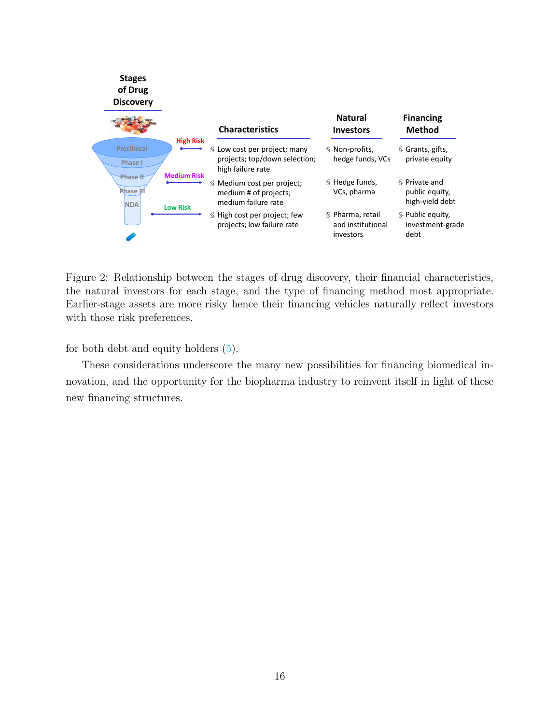

<span id="page-18-0"></span>Figure 2: Relationship between the stages of drug discovery, their financial characteristics, the natural investors for each stage, and the type of financing method most appropriate. Earlier-stage assets are more risky hence their financing vehicles naturally reflect investors with those risk preferences.

for both debt and equity holders [\(5](#page-23-14)).

These considerations underscore the many new possibilities for financing biomedical innovation, and the opportunity for the biopharma industry to reinvent itself in light of these new financing structures.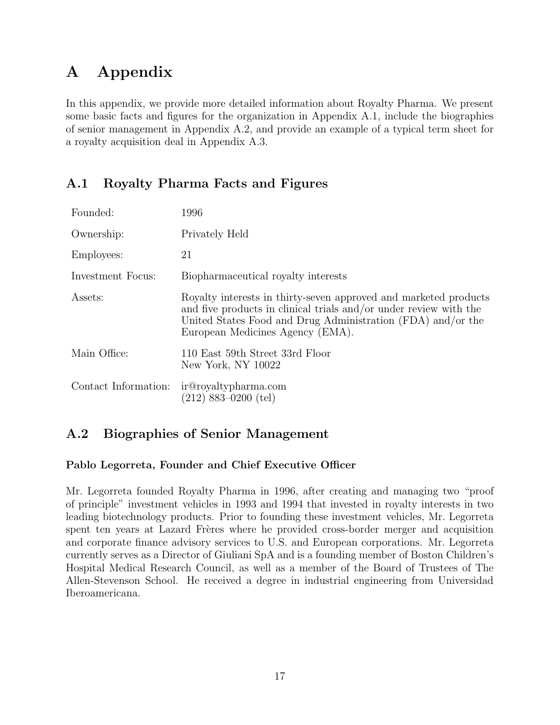# <span id="page-19-0"></span>A Appendix

In this appendix, we provide more detailed information about Royalty Pharma. We present some basic facts and figures for the organization in Appendix [A.1,](#page-19-1) include the biographies of senior management in Appendix [A.2,](#page-19-2) and provide an example of a typical term sheet for a royalty acquisition deal in Appendix [A.3.](#page-22-0)

## <span id="page-19-1"></span>A.1 Royalty Pharma Facts and Figures

| Founded:             | 1996                                                                                                                                                                                                                                     |
|----------------------|------------------------------------------------------------------------------------------------------------------------------------------------------------------------------------------------------------------------------------------|
| Ownership:           | Privately Held                                                                                                                                                                                                                           |
| Employees:           | 21                                                                                                                                                                                                                                       |
| Investment Focus:    | Biopharmaceutical royalty interests                                                                                                                                                                                                      |
| Assets:              | Royalty interests in thirty-seven approved and marketed products<br>and five products in clinical trials and/or under review with the<br>United States Food and Drug Administration (FDA) and/or the<br>European Medicines Agency (EMA). |
| Main Office:         | 110 East 59th Street 33rd Floor<br>New York, NY 10022                                                                                                                                                                                    |
| Contact Information: | ir@royaltypharma.com<br>$(212)$ 883-0200 (tel)                                                                                                                                                                                           |

## <span id="page-19-2"></span>A.2 Biographies of Senior Management

#### Pablo Legorreta, Founder and Chief Executive Officer

Mr. Legorreta founded Royalty Pharma in 1996, after creating and managing two "proof of principle" investment vehicles in 1993 and 1994 that invested in royalty interests in two leading biotechnology products. Prior to founding these investment vehicles, Mr. Legorreta spent ten years at Lazard Frères where he provided cross-border merger and acquisition and corporate finance advisory services to U.S. and European corporations. Mr. Legorreta currently serves as a Director of Giuliani SpA and is a founding member of Boston Children's Hospital Medical Research Council, as well as a member of the Board of Trustees of The Allen-Stevenson School. He received a degree in industrial engineering from Universidad Iberoamericana.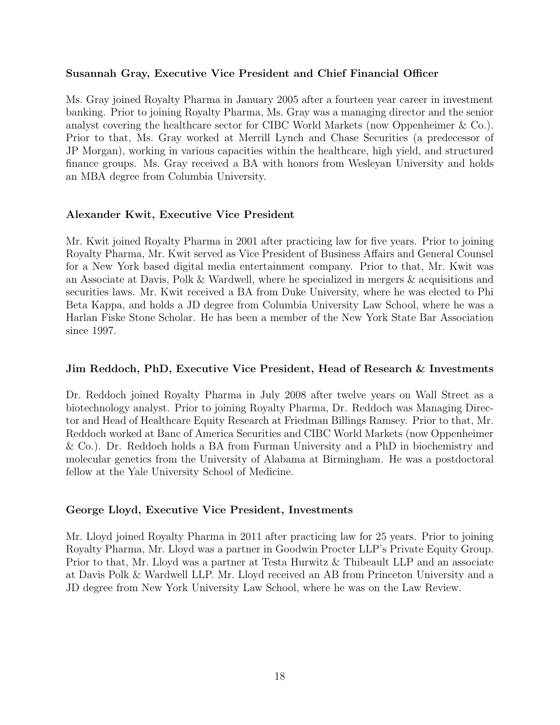#### Susannah Gray, Executive Vice President and Chief Financial Officer

Ms. Gray joined Royalty Pharma in January 2005 after a fourteen year career in investment banking. Prior to joining Royalty Pharma, Ms. Gray was a managing director and the senior analyst covering the healthcare sector for CIBC World Markets (now Oppenheimer & Co.). Prior to that, Ms. Gray worked at Merrill Lynch and Chase Securities (a predecessor of JP Morgan), working in various capacities within the healthcare, high yield, and structured finance groups. Ms. Gray received a BA with honors from Wesleyan University and holds an MBA degree from Columbia University.

#### Alexander Kwit, Executive Vice President

Mr. Kwit joined Royalty Pharma in 2001 after practicing law for five years. Prior to joining Royalty Pharma, Mr. Kwit served as Vice President of Business Affairs and General Counsel for a New York based digital media entertainment company. Prior to that, Mr. Kwit was an Associate at Davis, Polk & Wardwell, where he specialized in mergers & acquisitions and securities laws. Mr. Kwit received a BA from Duke University, where he was elected to Phi Beta Kappa, and holds a JD degree from Columbia University Law School, where he was a Harlan Fiske Stone Scholar. He has been a member of the New York State Bar Association since 1997.

#### Jim Reddoch, PhD, Executive Vice President, Head of Research & Investments

Dr. Reddoch joined Royalty Pharma in July 2008 after twelve years on Wall Street as a biotechnology analyst. Prior to joining Royalty Pharma, Dr. Reddoch was Managing Director and Head of Healthcare Equity Research at Friedman Billings Ramsey. Prior to that, Mr. Reddoch worked at Banc of America Securities and CIBC World Markets (now Oppenheimer & Co.). Dr. Reddoch holds a BA from Furman University and a PhD in biochemistry and molecular genetics from the University of Alabama at Birmingham. He was a postdoctoral fellow at the Yale University School of Medicine.

#### George Lloyd, Executive Vice President, Investments

Mr. Lloyd joined Royalty Pharma in 2011 after practicing law for 25 years. Prior to joining Royalty Pharma, Mr. Lloyd was a partner in Goodwin Procter LLP's Private Equity Group. Prior to that, Mr. Lloyd was a partner at Testa Hurwitz & Thibeault LLP and an associate at Davis Polk & Wardwell LLP. Mr. Lloyd received an AB from Princeton University and a JD degree from New York University Law School, where he was on the Law Review.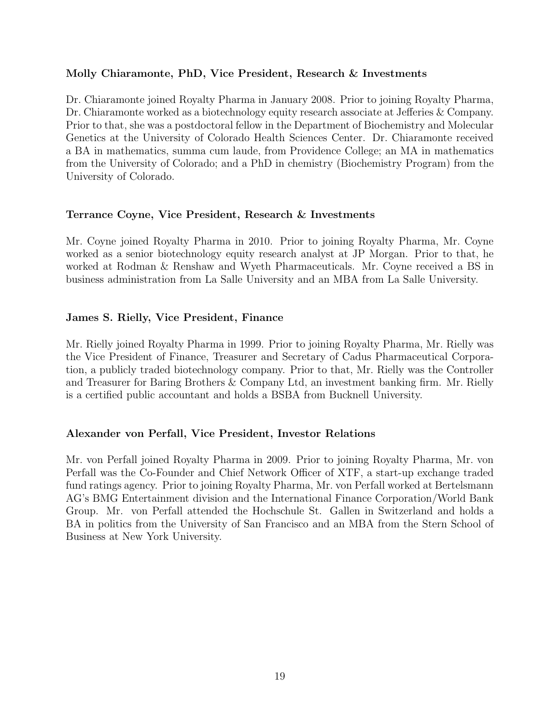#### Molly Chiaramonte, PhD, Vice President, Research & Investments

Dr. Chiaramonte joined Royalty Pharma in January 2008. Prior to joining Royalty Pharma, Dr. Chiaramonte worked as a biotechnology equity research associate at Jefferies & Company. Prior to that, she was a postdoctoral fellow in the Department of Biochemistry and Molecular Genetics at the University of Colorado Health Sciences Center. Dr. Chiaramonte received a BA in mathematics, summa cum laude, from Providence College; an MA in mathematics from the University of Colorado; and a PhD in chemistry (Biochemistry Program) from the University of Colorado.

#### Terrance Coyne, Vice President, Research & Investments

Mr. Coyne joined Royalty Pharma in 2010. Prior to joining Royalty Pharma, Mr. Coyne worked as a senior biotechnology equity research analyst at JP Morgan. Prior to that, he worked at Rodman & Renshaw and Wyeth Pharmaceuticals. Mr. Coyne received a BS in business administration from La Salle University and an MBA from La Salle University.

#### James S. Rielly, Vice President, Finance

Mr. Rielly joined Royalty Pharma in 1999. Prior to joining Royalty Pharma, Mr. Rielly was the Vice President of Finance, Treasurer and Secretary of Cadus Pharmaceutical Corporation, a publicly traded biotechnology company. Prior to that, Mr. Rielly was the Controller and Treasurer for Baring Brothers & Company Ltd, an investment banking firm. Mr. Rielly is a certified public accountant and holds a BSBA from Bucknell University.

#### Alexander von Perfall, Vice President, Investor Relations

Mr. von Perfall joined Royalty Pharma in 2009. Prior to joining Royalty Pharma, Mr. von Perfall was the Co-Founder and Chief Network Officer of XTF, a start-up exchange traded fund ratings agency. Prior to joining Royalty Pharma, Mr. von Perfall worked at Bertelsmann AG's BMG Entertainment division and the International Finance Corporation/World Bank Group. Mr. von Perfall attended the Hochschule St. Gallen in Switzerland and holds a BA in politics from the University of San Francisco and an MBA from the Stern School of Business at New York University.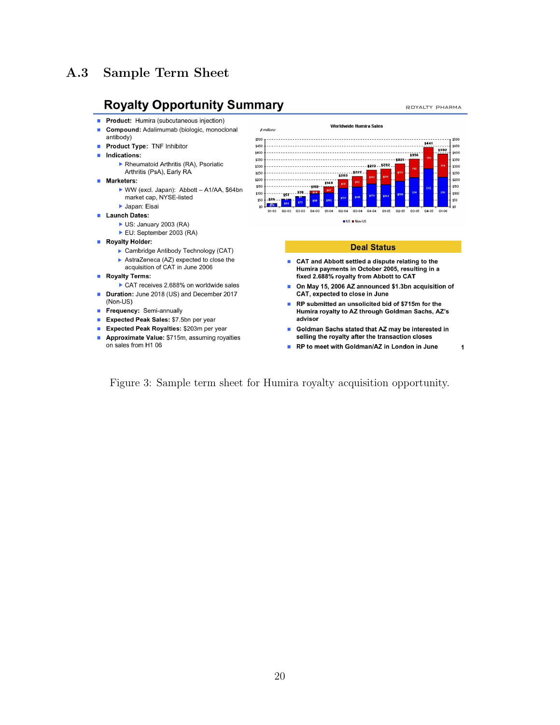## <span id="page-22-0"></span>A.3 Sample Term Sheet

## **Royalty Opportunity Summary**

- Product: Humira (subcutaneous injection)
- Compound: Adalimumab (biologic, monoclonal ×
- antibody)
- Product Type: TNF Inhibitor
- Indications:
	- Rheumatoid Arthritis (RA), Psoriatic Arthritis (PsA), Early RA
- **Marketers:** 
	- ▶ WW (excl. Japan): Abbott A1/AA, \$64bn market cap, NYSE-listed
	- Japan: Eisai
- Launch Dates:
	- US: January 2003 (RA)
	- EU: September 2003 (RA)
- Royalty Holder:
	- ▶ Cambridge Antibody Technology (CAT)
	- AstraZeneca (AZ) expected to close the acquisition of CAT in June 2006
- Royalty Terms:
- CAT receives 2.688% on worldwide sales Duration: June 2018 (US) and December 2017
- (Non-US)
- Frequency: Semi-annually
- Expected Peak Sales: \$7.5bn per year
- Expected Peak Royalties: \$203m per year
- Approximate Value: \$715m, assuming royalties on sales from H1 06

Worldwide Humira Sales  $t$  millions  $$500 -$ \$500 \$441 \$450 \$450 \$400 \$400 \$350 ;350 **t300** . . . . . . . . . 1273 . . 1282 1300 \$250  $.1227$ \$250 1203 \$200 \$200  $5143$ \$150 -\$119· \$100 \$78 157 \$50  $\frac{126}{154}$  154  $10 -$ 02-03 Q3-03 Q4-03  $Q1 - Q4$  $Q2 - 04$ Q3-04 Q4-04

**BUS BNon-US** 

#### **Deal Status**

- CAT and Abbott settled a dispute relating to the Ē. Humira payments in October 2005, resulting in a fixed 2.688% royalty from Abbott to CAT
- On May 15, 2006 AZ announced \$1.3bn acquisition of **R** CAT, expected to close in June
- Ľ, RP submitted an unsolicited bid of \$715m for the Humira royalty to AZ through Goldman Sachs, AZ's advisor
- Goldman Sachs stated that AZ may be interested in n selling the royalty after the transaction closes
- RP to meet with Goldman/AZ in London in June **In**

Figure 3: Sample term sheet for Humira royalty acquisition opportunity.

ROYALTY PHARMA

1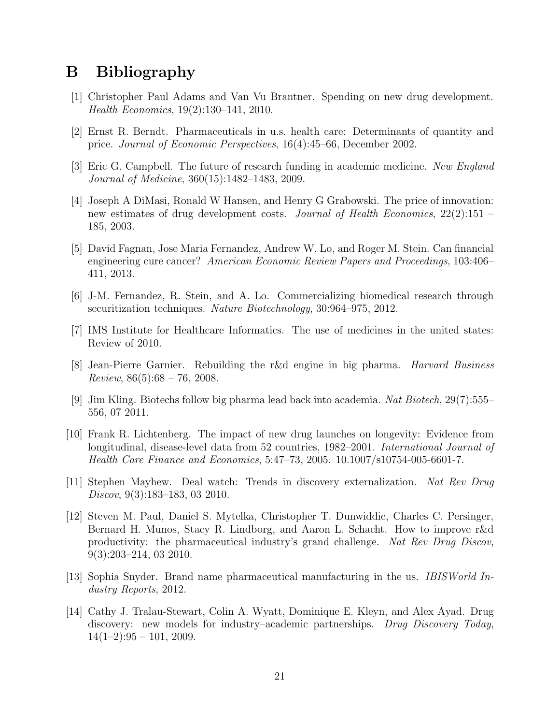## <span id="page-23-0"></span>B Bibliography

- <span id="page-23-5"></span>[1] Christopher Paul Adams and Van Vu Brantner. Spending on new drug development. Health Economics, 19(2):130–141, 2010.
- <span id="page-23-10"></span>[2] Ernst R. Berndt. Pharmaceuticals in u.s. health care: Determinants of quantity and price. Journal of Economic Perspectives, 16(4):45–66, December 2002.
- <span id="page-23-12"></span>[3] Eric G. Campbell. The future of research funding in academic medicine. New England Journal of Medicine, 360(15):1482–1483, 2009.
- <span id="page-23-4"></span>[4] Joseph A DiMasi, Ronald W Hansen, and Henry G Grabowski. The price of innovation: new estimates of drug development costs. Journal of Health Economics,  $22(2):151$ 185, 2003.
- <span id="page-23-14"></span>[5] David Fagnan, Jose Maria Fernandez, Andrew W. Lo, and Roger M. Stein. Can financial engineering cure cancer? American Economic Review Papers and Proceedings, 103:406– 411, 2013.
- <span id="page-23-7"></span>[6] J-M. Fernandez, R. Stein, and A. Lo. Commercializing biomedical research through securitization techniques. Nature Biotechnology, 30:964–975, 2012.
- <span id="page-23-11"></span>[7] IMS Institute for Healthcare Informatics. The use of medicines in the united states: Review of 2010.
- <span id="page-23-1"></span>[8] Jean-Pierre Garnier. Rebuilding the r&d engine in big pharma. Harvard Business  $Review, 86(5):68-76, 2008.$
- <span id="page-23-9"></span>[9] Jim Kling. Biotechs follow big pharma lead back into academia. Nat Biotech, 29(7):555– 556, 07 2011.
- <span id="page-23-6"></span>[10] Frank R. Lichtenberg. The impact of new drug launches on longevity: Evidence from longitudinal, disease-level data from 52 countries, 1982–2001. *International Journal of* Health Care Finance and Economics, 5:47–73, 2005. 10.1007/s10754-005-6601-7.
- <span id="page-23-8"></span>[11] Stephen Mayhew. Deal watch: Trends in discovery externalization. Nat Rev Drug Discov, 9(3):183–183, 03 2010.
- <span id="page-23-2"></span>[12] Steven M. Paul, Daniel S. Mytelka, Christopher T. Dunwiddie, Charles C. Persinger, Bernard H. Munos, Stacy R. Lindborg, and Aaron L. Schacht. How to improve r&d productivity: the pharmaceutical industry's grand challenge. Nat Rev Drug Discov, 9(3):203–214, 03 2010.
- <span id="page-23-3"></span>[13] Sophia Snyder. Brand name pharmaceutical manufacturing in the us. IBISWorld Industry Reports, 2012.
- <span id="page-23-13"></span>[14] Cathy J. Tralau-Stewart, Colin A. Wyatt, Dominique E. Kleyn, and Alex Ayad. Drug discovery: new models for industry–academic partnerships. Drug Discovery Today,  $14(1-2):95 - 101, 2009.$